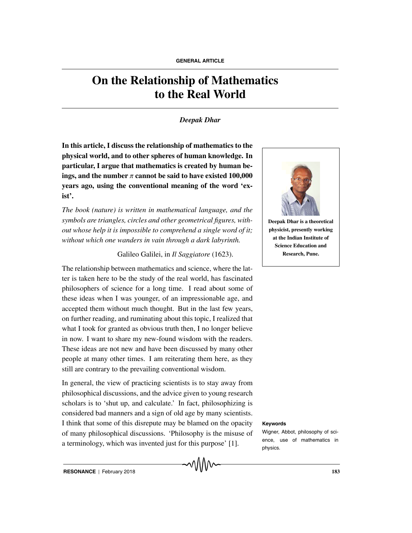# **On the Relationship of Mathematics to the Real World**

#### *Deepak Dhar*

**In this article, I discuss the relationship of mathematics to the physical world, and to other spheres of human knowledge. In particular, I argue that mathematics is created by human beings, and the number**  $\pi$  **cannot be said to have existed 100,000 years ago, using the conventional meaning of the word 'exist'.**

*The book (nature) is written in mathematical language, and the symbols are triangles, circles and other geometrical figures, without whose help it is impossible to comprehend a single word of it; without which one wanders in vain through a dark labyrinth.*

Galileo Galilei, in *Il Saggiatore* (1623).

The relationship between mathematics and science, where the latter is taken here to be the study of the real world, has fascinated philosophers of science for a long time. I read about some of these ideas when I was younger, of an impressionable age, and accepted them without much thought. But in the last few years, on further reading, and ruminating about this topic, I realized that what I took for granted as obvious truth then, I no longer believe in now. I want to share my new-found wisdom with the readers. These ideas are not new and have been discussed by many other people at many other times. I am reiterating them here, as they still are contrary to the prevailing conventional wisdom.

In general, the view of practicing scientists is to stay away from philosophical discussions, and the advice given to young research scholars is to 'shut up, and calculate.' In fact, philosophizing is considered bad manners and a sign of old age by many scientists. I think that some of this disrepute may be blamed on the opacity **Keywords** of many philosophical discussions. 'Philosophy is the misuse of a terminology, which was invented just for this purpose' [1].



**Deepak Dhar is a theoretical physicist, presently working at the Indian Institute of Science Education and Research, Pune.**

Wigner, Abbot, philosophy of science, use of mathematics in physics.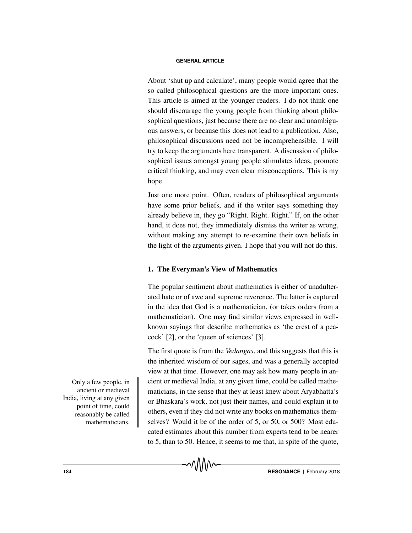About 'shut up and calculate', many people would agree that the so-called philosophical questions are the more important ones. This article is aimed at the younger readers. I do not think one should discourage the young people from thinking about philosophical questions, just because there are no clear and unambiguous answers, or because this does not lead to a publication. Also, philosophical discussions need not be incomprehensible. I will try to keep the arguments here transparent. A discussion of philosophical issues amongst young people stimulates ideas, promote critical thinking, and may even clear misconceptions. This is my hope.

Just one more point. Often, readers of philosophical arguments have some prior beliefs, and if the writer says something they already believe in, they go "Right. Right. Right." If, on the other hand, it does not, they immediately dismiss the writer as wrong, without making any attempt to re-examine their own beliefs in the light of the arguments given. I hope that you will not do this.

### **1. The Everyman's View of Mathematics**

The popular sentiment about mathematics is either of unadulterated hate or of awe and supreme reverence. The latter is captured in the idea that God is a mathematician, (or takes orders from a mathematician). One may find similar views expressed in wellknown sayings that describe mathematics as 'the crest of a peacock' [2], or the 'queen of sciences' [3].

The first quote is from the *Vedangas*, and this suggests that this is the inherited wisdom of our sages, and was a generally accepted view at that time. However, one may ask how many people in an-Only a few people, in cient or medieval India, at any given time, could be called mathematicians, in the sense that they at least knew about Aryabhatta's or Bhaskara's work, not just their names, and could explain it to others, even if they did not write any books on mathematics themselves? Would it be of the order of 5, or 50, or 500? Most educated estimates about this number from experts tend to be nearer to 5, than to 50. Hence, it seems to me that, in spite of the quote,

ancient or medieval India, living at any given point of time, could reasonably be called mathematicians.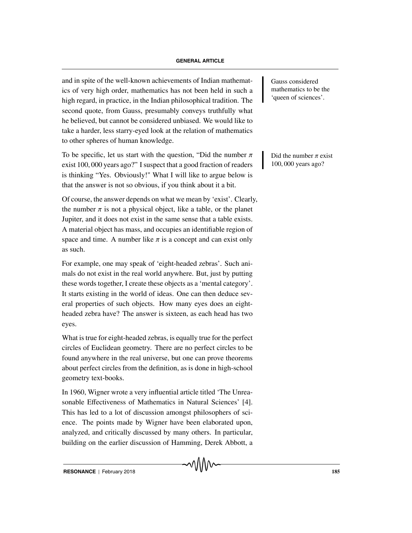and in spite of the well-known achievements of Indian mathemat-<br>
Gauss considered ics of very high order, mathematics has not been held in such a high regard, in practice, in the Indian philosophical tradition. The second quote, from Gauss, presumably conveys truthfully what he believed, but cannot be considered unbiased. We would like to take a harder, less starry-eyed look at the relation of mathematics to other spheres of human knowledge.

To be specific, let us start with the question, "Did the number  $\pi$  Did the number  $\pi$  exist exist 100, 000 years ago?" I suspect that a good fraction of readers is thinking "Yes. Obviously!" What I will like to argue below is that the answer is not so obvious, if you think about it a bit.

Of course, the answer depends on what we mean by 'exist'. Clearly, the number  $\pi$  is not a physical object, like a table, or the planet Jupiter, and it does not exist in the same sense that a table exists. A material object has mass, and occupies an identifiable region of space and time. A number like  $\pi$  is a concept and can exist only as such.

For example, one may speak of 'eight-headed zebras'. Such animals do not exist in the real world anywhere. But, just by putting these words together, I create these objects as a 'mental category'. It starts existing in the world of ideas. One can then deduce several properties of such objects. How many eyes does an eightheaded zebra have? The answer is sixteen, as each head has two eyes.

What is true for eight-headed zebras, is equally true for the perfect circles of Euclidean geometry. There are no perfect circles to be found anywhere in the real universe, but one can prove theorems about perfect circles from the definition, as is done in high-school geometry text-books.

In 1960, Wigner wrote a very influential article titled 'The Unreasonable Effectiveness of Mathematics in Natural Sciences' [4]. This has led to a lot of discussion amongst philosophers of science. The points made by Wigner have been elaborated upon, analyzed, and critically discussed by many others. In particular, building on the earlier discussion of Hamming, Derek Abbott, a mathematics to be the 'queen of sciences'.

100, 000 years ago?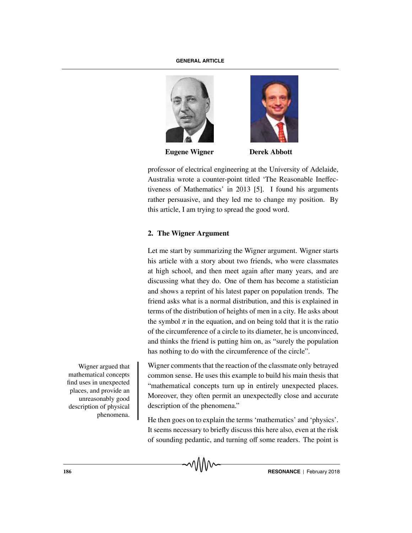#### **GENERAL ARTICLE**



**Eugene Wigner Derek Abbott**



professor of electrical engineering at the University of Adelaide, Australia wrote a counter-point titled 'The Reasonable Ineffectiveness of Mathematics' in 2013 [5]. I found his arguments rather persuasive, and they led me to change my position. By this article, I am trying to spread the good word.

#### **2. The Wigner Argument**

Let me start by summarizing the Wigner argument. Wigner starts his article with a story about two friends, who were classmates at high school, and then meet again after many years, and are discussing what they do. One of them has become a statistician and shows a reprint of his latest paper on population trends. The friend asks what is a normal distribution, and this is explained in terms of the distribution of heights of men in a city. He asks about the symbol  $\pi$  in the equation, and on being told that it is the ratio of the circumference of a circle to its diameter, he is unconvinced, and thinks the friend is putting him on, as "surely the population has nothing to do with the circumference of the circle".

mathematical concepts find uses in unexpected places, and provide an unreasonably good description of physical phenomena.

Wigner argued that Wigner comments that the reaction of the classmate only betrayed common sense. He uses this example to build his main thesis that "mathematical concepts turn up in entirely unexpected places. Moreover, they often permit an unexpectedly close and accurate description of the phenomena."

> He then goes on to explain the terms 'mathematics' and 'physics'. It seems necessary to briefly discuss this here also, even at the risk of sounding pedantic, and turning off some readers. The point is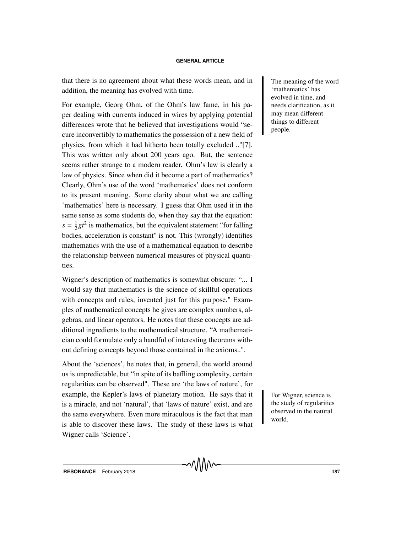that there is no agreement about what these words mean, and in The meaning of the word addition, the meaning has evolved with time.

For example, Georg Ohm, of the Ohm's law fame, in his paper dealing with currents induced in wires by applying potential differences wrote that he believed that investigations would "secure inconvertibly to mathematics the possession of a new field of physics, from which it had hitherto been totally excluded .."[7]. This was written only about 200 years ago. But, the sentence seems rather strange to a modern reader. Ohm's law is clearly a law of physics. Since when did it become a part of mathematics? Clearly, Ohm's use of the word 'mathematics' does not conform to its present meaning. Some clarity about what we are calling 'mathematics' here is necessary. I guess that Ohm used it in the same sense as some students do, when they say that the equation:  $s = \frac{1}{2}gt^2$  is mathematics, but the equivalent statement "for falling bodies, acceleration is constant" is not. This (wrongly) identifies mathematics with the use of a mathematical equation to describe the relationship between numerical measures of physical quantities.

Wigner's description of mathematics is somewhat obscure: "... I would say that mathematics is the science of skillful operations with concepts and rules, invented just for this purpose." Examples of mathematical concepts he gives are complex numbers, algebras, and linear operators. He notes that these concepts are additional ingredients to the mathematical structure. "A mathematician could formulate only a handful of interesting theorems without defining concepts beyond those contained in the axioms..".

About the 'sciences', he notes that, in general, the world around us is unpredictable, but "in spite of its baffling complexity, certain regularities can be observed". These are 'the laws of nature', for example, the Kepler's laws of planetary motion. He says that it is a miracle, and not 'natural', that 'laws of nature' exist, and are the same everywhere. Even more miraculous is the fact that man is able to discover these laws. The study of these laws is what Wigner calls 'Science'.

'mathematics' has evolved in time, and needs clarification, as it may mean different things to different people.

For Wigner, science is the study of regularities observed in the natural world.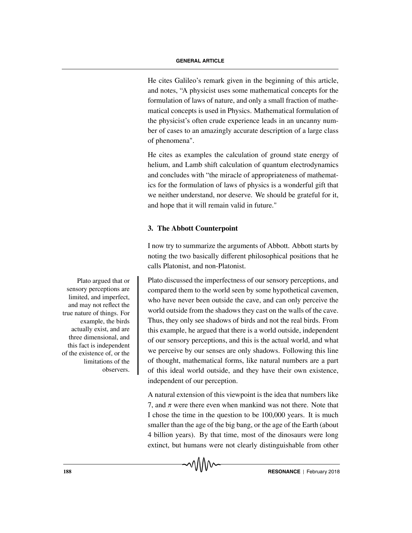He cites Galileo's remark given in the beginning of this article, and notes, "A physicist uses some mathematical concepts for the formulation of laws of nature, and only a small fraction of mathematical concepts is used in Physics. Mathematical formulation of the physicist's often crude experience leads in an uncanny number of cases to an amazingly accurate description of a large class of phenomena".

He cites as examples the calculation of ground state energy of helium, and Lamb shift calculation of quantum electrodynamics and concludes with "the miracle of appropriateness of mathematics for the formulation of laws of physics is a wonderful gift that we neither understand, nor deserve. We should be grateful for it, and hope that it will remain valid in future."

### **3. The Abbott Counterpoint**

I now try to summarize the arguments of Abbott. Abbott starts by noting the two basically different philosophical positions that he calls Platonist, and non-Platonist.

Plato discussed the imperfectness of our sensory perceptions, and compared them to the world seen by some hypothetical cavemen, who have never been outside the cave, and can only perceive the world outside from the shadows they cast on the walls of the cave. Thus, they only see shadows of birds and not the real birds. From this example, he argued that there is a world outside, independent of our sensory perceptions, and this is the actual world, and what we perceive by our senses are only shadows. Following this line of thought, mathematical forms, like natural numbers are a part of this ideal world outside, and they have their own existence, independent of our perception.

A natural extension of this viewpoint is the idea that numbers like 7, and  $\pi$  were there even when mankind was not there. Note that I chose the time in the question to be 100,000 years. It is much smaller than the age of the big bang, or the age of the Earth (about 4 billion years). By that time, most of the dinosaurs were long extinct, but humans were not clearly distinguishable from other

Plato argued that or sensory perceptions are limited, and imperfect, and may not reflect the true nature of things. For example, the birds actually exist, and are three dimensional, and this fact is independent of the existence of, or the limitations of the observers.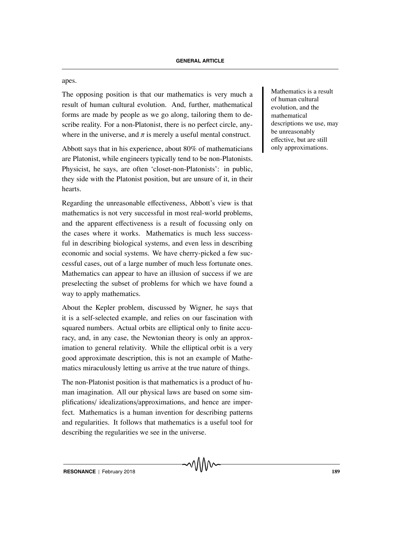apes.

The opposing position is that our mathematics is very much a result of human cultural evolution. And, further, mathematical forms are made by people as we go along, tailoring them to describe reality. For a non-Platonist, there is no perfect circle, anywhere in the universe, and  $\pi$  is merely a useful mental construct.

Abbott says that in his experience, about 80% of mathematicians are Platonist, while engineers typically tend to be non-Platonists. Physicist, he says, are often 'closet-non-Platonists': in public, they side with the Platonist position, but are unsure of it, in their hearts.

Regarding the unreasonable effectiveness, Abbott's view is that mathematics is not very successful in most real-world problems, and the apparent effectiveness is a result of focussing only on the cases where it works. Mathematics is much less successful in describing biological systems, and even less in describing economic and social systems. We have cherry-picked a few successful cases, out of a large number of much less fortunate ones. Mathematics can appear to have an illusion of success if we are preselecting the subset of problems for which we have found a way to apply mathematics.

About the Kepler problem, discussed by Wigner, he says that it is a self-selected example, and relies on our fascination with squared numbers. Actual orbits are elliptical only to finite accuracy, and, in any case, the Newtonian theory is only an approximation to general relativity. While the elliptical orbit is a very good approximate description, this is not an example of Mathematics miraculously letting us arrive at the true nature of things.

The non-Platonist position is that mathematics is a product of human imagination. All our physical laws are based on some simplifications/ idealizations/approximations, and hence are imperfect. Mathematics is a human invention for describing patterns and regularities. It follows that mathematics is a useful tool for describing the regularities we see in the universe.

Mathematics is a result of human cultural evolution, and the mathematical descriptions we use, may be unreasonably effective, but are still only approximations.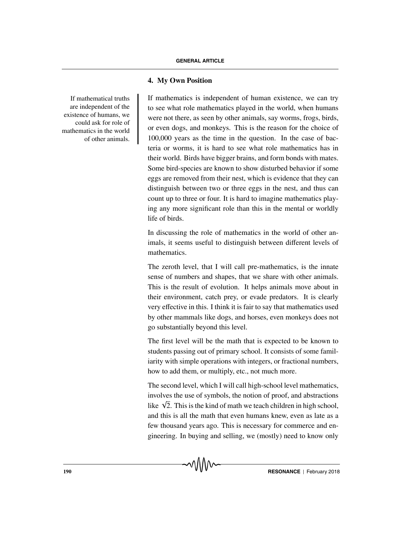#### **4. My Own Position**

If mathematics is independent of human existence, we can try to see what role mathematics played in the world, when humans were not there, as seen by other animals, say worms, frogs, birds, or even dogs, and monkeys. This is the reason for the choice of 100,000 years as the time in the question. In the case of bacteria or worms, it is hard to see what role mathematics has in their world. Birds have bigger brains, and form bonds with mates. Some bird-species are known to show disturbed behavior if some eggs are removed from their nest, which is evidence that they can distinguish between two or three eggs in the nest, and thus can count up to three or four. It is hard to imagine mathematics playing any more significant role than this in the mental or worldly life of birds.

In discussing the role of mathematics in the world of other animals, it seems useful to distinguish between different levels of mathematics.

The zeroth level, that I will call pre-mathematics, is the innate sense of numbers and shapes, that we share with other animals. This is the result of evolution. It helps animals move about in their environment, catch prey, or evade predators. It is clearly very effective in this. I think it is fair to say that mathematics used by other mammals like dogs, and horses, even monkeys does not go substantially beyond this level.

The first level will be the math that is expected to be known to students passing out of primary school. It consists of some familiarity with simple operations with integers, or fractional numbers, how to add them, or multiply, etc., not much more.

The second level, which I will call high-school level mathematics, involves the use of symbols, the notion of proof, and abstractions like  $\sqrt{2}$ . This is the kind of math we teach children in high school, and this is all the math that even humans knew, even as late as a few thousand years ago. This is necessary for commerce and engineering. In buying and selling, we (mostly) need to know only

If mathematical truths are independent of the existence of humans, we could ask for role of mathematics in the world of other animals.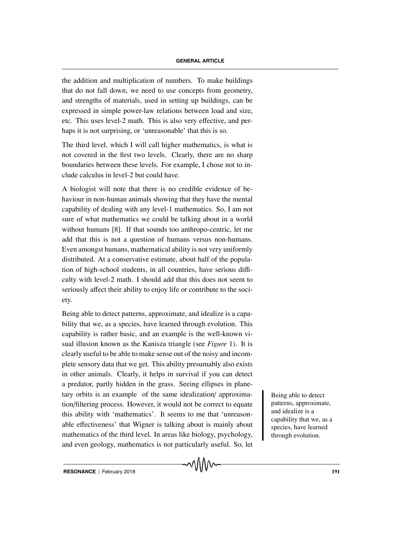the addition and multiplication of numbers. To make buildings that do not fall down, we need to use concepts from geometry, and strengths of materials, used in setting up buildings, can be expressed in simple power-law relations between load and size, etc. This uses level-2 math. This is also very effective, and perhaps it is not surprising, or 'unreasonable' that this is so.

The third level, which I will call higher mathematics, is what is not covered in the first two levels. Clearly, there are no sharp boundaries between these levels. For example, I chose not to include calculus in level-2 but could have.

A biologist will note that there is no credible evidence of behaviour in non-human animals showing that they have the mental capability of dealing with any level-1 mathematics. So, I am not sure of what mathematics we could be talking about in a world without humans [8]. If that sounds too anthropo-centric, let me add that this is not a question of humans versus non-humans. Even amongst humans, mathematical ability is not very uniformly distributed. At a conservative estimate, about half of the population of high-school students, in all countries, have serious difficulty with level-2 math. I should add that this does not seem to seriously affect their ability to enjoy life or contribute to the society.

Being able to detect patterns, approximate, and idealize is a capability that we, as a species, have learned through evolution. This capability is rather basic, and an example is the well-known visual illusion known as the Kanisza triangle (see *Figure* 1). It is clearly useful to be able to make sense out of the noisy and incomplete sensory data that we get. This ability presumably also exists in other animals. Clearly, it helps in survival if you can detect a predator, partly hidden in the grass. Seeing ellipses in planetary orbits is an example of the same idealization/ approxima- Being able to detect tion/filtering process. However, it would not be correct to equate this ability with 'mathematics'. It seems to me that 'unreasonable effectiveness' that Wigner is talking about is mainly about mathematics of the third level. In areas like biology, psychology, and even geology, mathematics is not particularly useful. So, let

patterns, approximate, and idealize is a capability that we, as a species, have learned through evolution.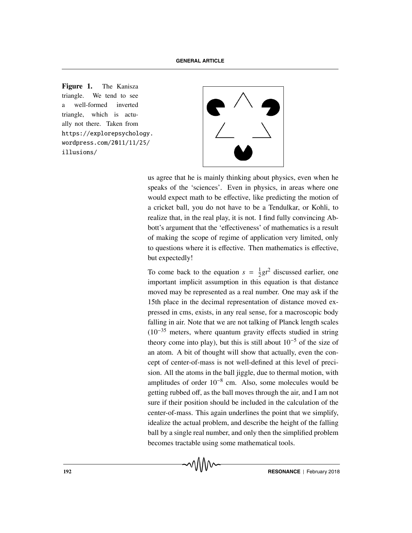**Figure 1.** The Kanisza triangle. We tend to see a well-formed inverted triangle, which is actually not there. Taken from https://explorepsychology. wordpress.com/2011/11/25/ illusions/



us agree that he is mainly thinking about physics, even when he speaks of the 'sciences'. Even in physics, in areas where one would expect math to be effective, like predicting the motion of a cricket ball, you do not have to be a Tendulkar, or Kohli, to realize that, in the real play, it is not. I find fully convincing Abbott's argument that the 'effectiveness' of mathematics is a result of making the scope of regime of application very limited, only to questions where it is effective. Then mathematics is effective, but expectedly!

To come back to the equation  $s = \frac{1}{2}gt^2$  discussed earlier, one important implicit assumption in this equation is that distance moved may be represented as a real number. One may ask if the 15th place in the decimal representation of distance moved expressed in cms, exists, in any real sense, for a macroscopic body falling in air. Note that we are not talking of Planck length scales  $(10^{-35}$  meters, where quantum gravity effects studied in string theory come into play), but this is still about  $10^{-5}$  of the size of an atom. A bit of thought will show that actually, even the concept of center-of-mass is not well-defined at this level of precision. All the atoms in the ball jiggle, due to thermal motion, with amplitudes of order 10−<sup>8</sup> cm. Also, some molecules would be getting rubbed off, as the ball moves through the air, and I am not sure if their position should be included in the calculation of the center-of-mass. This again underlines the point that we simplify, idealize the actual problem, and describe the height of the falling ball by a single real number, and only then the simplified problem becomes tractable using some mathematical tools.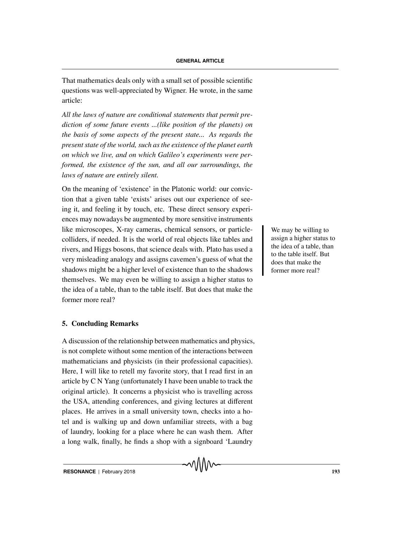That mathematics deals only with a small set of possible scientific questions was well-appreciated by Wigner. He wrote, in the same article:

*All the laws of nature are conditional statements that permit prediction of some future events ...(like position of the planets) on the basis of some aspects of the present state... As regards the present state of the world, such as the existence of the planet earth on which we live, and on which Galileo's experiments were performed, the existence of the sun, and all our surroundings, the laws of nature are entirely silent.*

On the meaning of 'existence' in the Platonic world: our conviction that a given table 'exists' arises out our experience of seeing it, and feeling it by touch, etc. These direct sensory experiences may nowadays be augmented by more sensitive instruments like microscopes, X-ray cameras, chemical sensors, or particle-<br>We may be willing to colliders, if needed. It is the world of real objects like tables and rivers, and Higgs bosons, that science deals with. Plato has used a very misleading analogy and assigns cavemen's guess of what the shadows might be a higher level of existence than to the shadows themselves. We may even be willing to assign a higher status to the idea of a table, than to the table itself. But does that make the former more real?

## assign a higher status to the idea of a table, than to the table itself. But does that make the former more real?

#### **5. Concluding Remarks**

A discussion of the relationship between mathematics and physics, is not complete without some mention of the interactions between mathematicians and physicists (in their professional capacities). Here, I will like to retell my favorite story, that I read first in an article by C N Yang (unfortunately I have been unable to track the original article). It concerns a physicist who is travelling across the USA, attending conferences, and giving lectures at different places. He arrives in a small university town, checks into a hotel and is walking up and down unfamiliar streets, with a bag of laundry, looking for a place where he can wash them. After a long walk, finally, he finds a shop with a signboard 'Laundry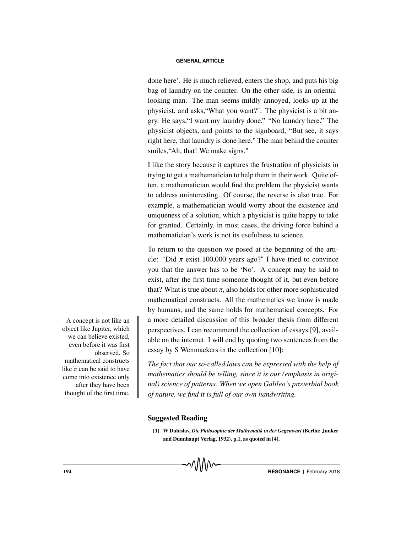done here'. He is much relieved, enters the shop, and puts his big bag of laundry on the counter. On the other side, is an orientallooking man. The man seems mildly annoyed, looks up at the physicist, and asks,"What you want?". The physicist is a bit angry. He says,"I want my laundry done." "No laundry here." The physicist objects, and points to the signboard, "But see, it says right here, that laundry is done here." The man behind the counter smiles,"Ah, that! We make signs."

I like the story because it captures the frustration of physicists in trying to get a mathematician to help them in their work. Quite often, a mathematician would find the problem the physicist wants to address uninteresting. Of course, the reverse is also true. For example, a mathematician would worry about the existence and uniqueness of a solution, which a physicist is quite happy to take for granted. Certainly, in most cases, the driving force behind a mathematician's work is not its usefulness to science.

To return to the question we posed at the beginning of the article: "Did  $\pi$  exist 100,000 years ago?" I have tried to convince you that the answer has to be 'No'. A concept may be said to exist, after the first time someone thought of it, but even before that? What is true about  $\pi$ , also holds for other more sophisticated mathematical constructs. All the mathematics we know is made by humans, and the same holds for mathematical concepts. For A concept is not like an a more detailed discussion of this broader thesis from different perspectives, I can recommend the collection of essays [9], available on the internet. I will end by quoting two sentences from the essay by S Wenmackers in the collection [10]:

> *The fact that our so-called laws can be expressed with the help of mathematics should be telling, since it is our (emphasis in original) science of patterns. When we open Galileo's proverbial book of nature, we find it is full of our own handwriting.*

#### **Suggested Reading**

**[1] W Dubislav,** *Die Philosophie der Mathematik in der Gegenwart* **(Berlin: Junker and Dunnhaupt Verlag, 1932), p.1, as quoted in [4].**

object like Jupiter, which we can believe existed, even before it was first observed. So mathematical constructs like  $\pi$  can be said to have come into existence only after they have been thought of the first time.